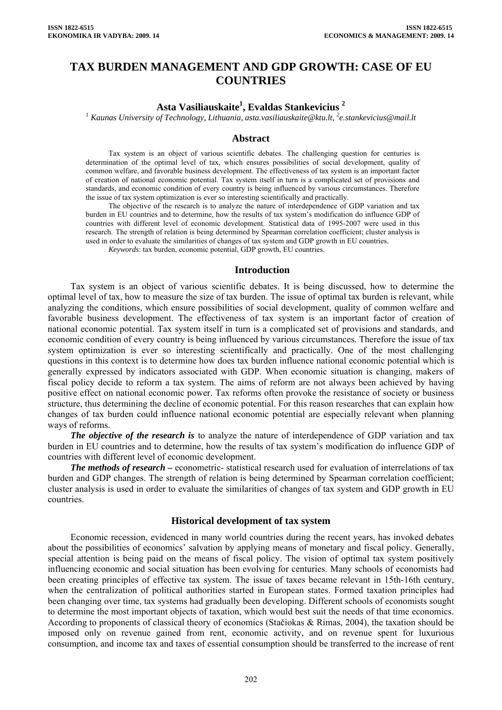# **TAX BURDEN MANAGEMENT AND GDP GROWTH: CASE OF EU COUNTRIES**

## **Asta Vasiliauskaite1 , Evaldas Stankevicius 2**

<sup>1</sup> Kaunas University of Technology, Lithuania, [asta.vasiliauskaite@ktu.lt](mailto:asta.vasiliauskaite@ktu.lt), <sup>2</sup>e.stankevicius@mail.lt

### **Abstract**

Tax system is an object of various scientific debates. The challenging question for centuries is determination of the optimal level of tax, which ensures possibilities of social development, quality of common welfare, and favorable business development. The effectiveness of tax system is an important factor of creation of national economic potential. Tax system itself in turn is a complicated set of provisions and standards, and economic condition of every country is being influenced by various circumstances. Therefore the issue of tax system optimization is ever so interesting scientifically and practically.

The objective of the research is to analyze the nature of interdependence of GDP variation and tax burden in EU countries and to determine, how the results of tax system's modification do influence GDP of countries with different level of economic development. Statistical data of 1995-2007 were used in this research. The strength of relation is being determined by Spearman correlation coefficient; cluster analysis is used in order to evaluate the similarities of changes of tax system and GDP growth in EU countries.

*Keywords*: tax burden, economic potential, GDP growth, EU countries.

#### **Introduction**

Tax system is an object of various scientific debates. It is being discussed, how to determine the optimal level of tax, how to measure the size of tax burden. The issue of optimal tax burden is relevant, while analyzing the conditions, which ensure possibilities of social development, quality of common welfare and favorable business development. The effectiveness of tax system is an important factor of creation of national economic potential. Tax system itself in turn is a complicated set of provisions and standards, and economic condition of every country is being influenced by various circumstances. Therefore the issue of tax system optimization is ever so interesting scientifically and practically. One of the most challenging questions in this context is to determine how does tax burden influence national economic potential which is generally expressed by indicators associated with GDP. When economic situation is changing, makers of fiscal policy decide to reform a tax system. The aims of reform are not always been achieved by having positive effect on national economic power. Tax reforms often provoke the resistance of society or business structure, thus determining the decline of economic potential. For this reason researches that can explain how changes of tax burden could influence national economic potential are especially relevant when planning ways of reforms.

*The objective of the research is* to analyze the nature of interdependence of GDP variation and tax burden in EU countries and to determine, how the results of tax system's modification do influence GDP of countries with different level of economic development.

*The methods of research –* econometric- statistical research used for evaluation of interrelations of tax burden and GDP changes. The strength of relation is being determined by Spearman correlation coefficient; cluster analysis is used in order to evaluate the similarities of changes of tax system and GDP growth in EU countries.

#### **Historical development of tax system**

Economic recession, evidenced in many world countries during the recent years, has invoked debates about the possibilities of economics' salvation by applying means of monetary and fiscal policy. Generally, special attention is being paid on the means of fiscal policy. The vision of optimal tax system positively influencing economic and social situation has been evolving for centuries. Many schools of economists had been creating principles of effective tax system. The issue of taxes became relevant in 15th-16th century, when the centralization of political authorities started in European states. Formed taxation principles had been changing over time, tax systems had gradually been developing. Different schools of economists sought to determine the most important objects of taxation, which would best suit the needs of that time economics. According to proponents of classical theory of economics (Stačiokas & Rimas, 2004), the taxation should be imposed only on revenue gained from rent, economic activity, and on revenue spent for luxurious consumption, and income tax and taxes of essential consumption should be transferred to the increase of rent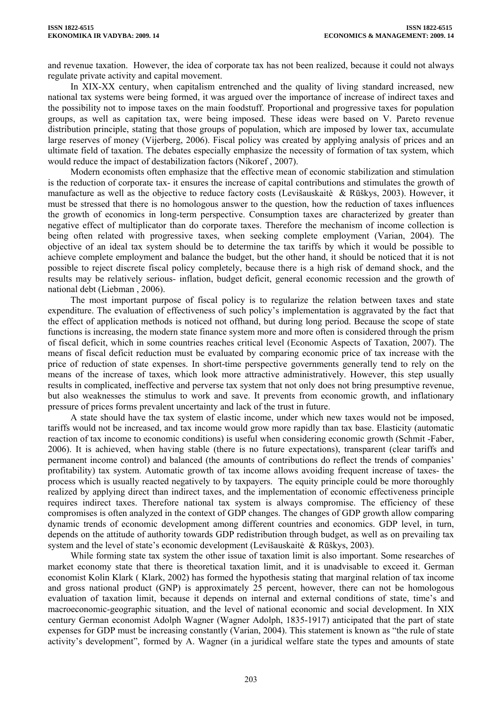and revenue taxation. However, the idea of corporate tax has not been realized, because it could not always regulate private activity and capital movement.

In XIX-XX century, when capitalism entrenched and the quality of living standard increased, new national tax systems were being formed, it was argued over the importance of increase of indirect taxes and the possibility not to impose taxes on the main foodstuff. Proportional and progressive taxes for population groups, as well as capitation tax, were being imposed. These ideas were based on V. Pareto revenue distribution principle, stating that those groups of population, which are imposed by lower tax, accumulate large reserves of money (Vijerberg, 2006). Fiscal policy was created by applying analysis of prices and an ultimate field of taxation. The debates especially emphasize the necessity of formation of tax system, which would reduce the impact of destabilization factors (Nikoref , 2007).

Modern economists often emphasize that the effective mean of economic stabilization and stimulation is the reduction of corporate tax- it ensures the increase of capital contributions and stimulates the growth of manufacture as well as the objective to reduce factory costs (Levišauskaitė & Rūškys, 2003). However, it must be stressed that there is no homologous answer to the question, how the reduction of taxes influences the growth of economics in long-term perspective. Consumption taxes are characterized by greater than negative effect of multiplicator than do corporate taxes. Therefore the mechanism of income collection is being often related with progressive taxes, when seeking complete employment (Varian, 2004). The objective of an ideal tax system should be to determine the tax tariffs by which it would be possible to achieve complete employment and balance the budget, but the other hand, it should be noticed that it is not possible to reject discrete fiscal policy completely, because there is a high risk of demand shock, and the results may be relatively serious- inflation, budget deficit, general economic recession and the growth of national debt (Liebman , 2006).

The most important purpose of fiscal policy is to regularize the relation between taxes and state expenditure. The evaluation of effectiveness of such policy's implementation is aggravated by the fact that the effect of application methods is noticed not offhand, but during long period. Because the scope of state functions is increasing, the modern state finance system more and more often is considered through the prism of fiscal deficit, which in some countries reaches critical level (Economic Aspects of Taxation, 2007). The means of fiscal deficit reduction must be evaluated by comparing economic price of tax increase with the price of reduction of state expenses. In short-time perspective governments generally tend to rely on the means of the increase of taxes, which look more attractive administratively. However, this step usually results in complicated, ineffective and perverse tax system that not only does not bring presumptive revenue, but also weaknesses the stimulus to work and save. It prevents from economic growth, and inflationary pressure of prices forms prevalent uncertainty and lack of the trust in future.

A state should have the tax system of elastic income, under which new taxes would not be imposed, tariffs would not be increased, and tax income would grow more rapidly than tax base. Elasticity (automatic reaction of tax income to economic conditions) is useful when considering economic growth (Schmit -Faber, 2006). It is achieved, when having stable (there is no future expectations), transparent (clear tariffs and permanent income control) and balanced (the amounts of contributions do reflect the trends of companies' profitability) tax system. Automatic growth of tax income allows avoiding frequent increase of taxes- the process which is usually reacted negatively to by taxpayers. The equity principle could be more thoroughly realized by applying direct than indirect taxes, and the implementation of economic effectiveness principle requires indirect taxes. Therefore national tax system is always compromise. The efficiency of these compromises is often analyzed in the context of GDP changes. The changes of GDP growth allow comparing dynamic trends of economic development among different countries and economics. GDP level, in turn, depends on the attitude of authority towards GDP redistribution through budget, as well as on prevailing tax system and the level of state's economic development (Levišauskaitė & Rūškys, 2003).

While forming state tax system the other issue of taxation limit is also important. Some researches of market economy state that there is theoretical taxation limit, and it is unadvisable to exceed it. German economist Kolin Klark ( Klark, 2002) has formed the hypothesis stating that marginal relation of tax income and gross national product (GNP) is approximately 25 percent, however, there can not be homologous evaluation of taxation limit, because it depends on internal and external conditions of state, time's and macroeconomic-geographic situation, and the level of national economic and social development. In XIX century German economist Adolph Wagner (Wagner Adolph, 1835-1917) anticipated that the part of state expenses for GDP must be increasing constantly (Varian, 2004). This statement is known as "the rule of state activity's development", formed by A. Wagner (in a juridical welfare state the types and amounts of state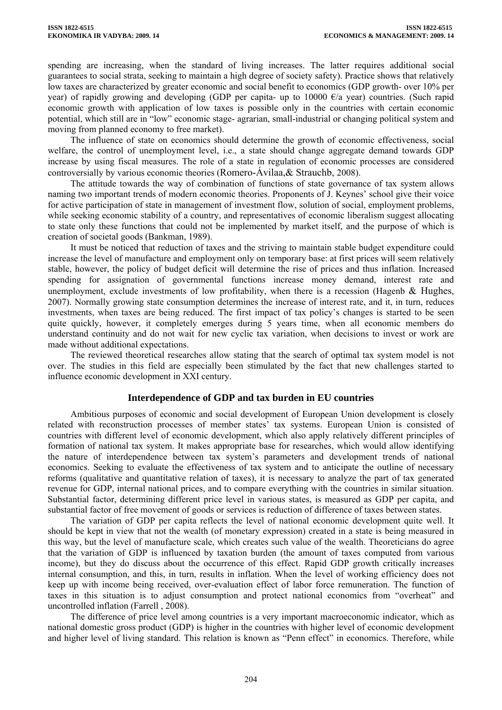spending are increasing, when the standard of living increases. The latter requires additional social guarantees to social strata, seeking to maintain a high degree of society safety). Practice shows that relatively low taxes are characterized by greater economic and social benefit to economics (GDP growth- over 10% per year) of rapidly growing and developing (GDP per capita- up to 10000  $\epsilon/a$  year) countries. (Such rapid economic growth with application of low taxes is possible only in the countries with certain economic potential, which still are in "low" economic stage- agrarian, small-industrial or changing political system and moving from planned economy to free market).

The influence of state on economics should determine the growth of economic effectiveness, social welfare, the control of unemployment level, i.e., a state should change aggregate demand towards GDP increase by using fiscal measures. The role of a state in regulation of economic processes are considered controversially by various economic theories (Romero-Ávil[aa,](http://www.sciencedirect.com/science?_ob=ArticleURL&_udi=B6V97-4P5NWY5-1&_user=10&_coverDate=03%2F31%2F2008&_alid=770074833&_rdoc=3&_fmt=full&_orig=search&_cdi=5891&_sort=d&_docanchor=&view=c&_ct=43&_acct=C000050221&_version=1&_urlVersion=0&_userid=10&md5=88f8beea9c058281cd677d7ba19e9a98#aff1)& Strauch[b,](http://www.sciencedirect.com/science?_ob=ArticleURL&_udi=B6V97-4P5NWY5-1&_user=10&_coverDate=03%2F31%2F2008&_alid=770074833&_rdoc=3&_fmt=full&_orig=search&_cdi=5891&_sort=d&_docanchor=&view=c&_ct=43&_acct=C000050221&_version=1&_urlVersion=0&_userid=10&md5=88f8beea9c058281cd677d7ba19e9a98#aff2) 2008).

The attitude towards the way of combination of functions of state governance of tax system allows naming two important trends of modern economic theories. Proponents of J. Keynes' school give their voice for active participation of state in management of investment flow, solution of social, employment problems, while seeking economic stability of a country, and representatives of economic liberalism suggest allocating to state only these functions that could not be implemented by market itself, and the purpose of which is creation of societal goods (Bankman, 1989).

It must be noticed that reduction of taxes and the striving to maintain stable budget expenditure could increase the level of manufacture and employment only on temporary base: at first prices will seem relatively stable, however, the policy of budget deficit will determine the rise of prices and thus inflation. Increased spending for assignation of governmental functions increase money demand, interest rate and unemployment, exclude investments of low profita[b](http://www.sciencedirect.com/science?_ob=ArticleURL&_udi=B6WMC-47CYJFK-6&_user=10&_coverDate=12%2F31%2F2002&_alid=770074833&_rdoc=22&_fmt=high&_orig=search&_cdi=6931&_sort=d&_docanchor=&view=c&_ct=43&_acct=C000050221&_version=1&_urlVersion=0&_userid=10&md5=d25b9f4465716b327a05d0efff524607#a1#a1)ility, when there is a recession (Hagenb  $\&$  Hughes, 2007). Normally growing state consumption determines the increase of interest rate, and it, in turn, reduces investments, when taxes are being reduced. The first impact of tax policy's changes is started to be seen quite quickly, however, it completely emerges during 5 years time, when all economic members do understand continuity and do not wait for new cyclic tax variation, when decisions to invest or work are made without additional expectations.

The reviewed theoretical researches allow stating that the search of optimal tax system model is not over. The studies in this field are especially been stimulated by the fact that new challenges started to influence economic development in XXI century.

### **Interdependence of GDP and tax burden in EU countries**

Ambitious purposes of economic and social development of European Union development is closely related with reconstruction processes of member states' tax systems. European Union is consisted of countries with different level of economic development, which also apply relatively different principles of formation of national tax system. It makes appropriate base for researches, which would allow identifying the nature of interdependence between tax system's parameters and development trends of national economics. Seeking to evaluate the effectiveness of tax system and to anticipate the outline of necessary reforms (qualitative and quantitative relation of taxes), it is necessary to analyze the part of tax generated revenue for GDP, internal national prices, and to compare everything with the countries in similar situation. Substantial factor, determining different price level in various states, is measured as GDP per capita, and substantial factor of free movement of goods or services is reduction of difference of taxes between states.

The variation of GDP per capita reflects the level of national economic development quite well. It should be kept in view that not the wealth (of monetary expression) created in a state is being measured in this way, but the level of manufacture scale, which creates such value of the wealth. Theoreticians do agree that the variation of GDP is influenced by taxation burden (the amount of taxes computed from various income), but they do discuss about the occurrence of this effect. Rapid GDP growth critically increases internal consumption, and this, in turn, results in inflation. When the level of working efficiency does not keep up with income being received, over-evaluation effect of labor force remuneration. The function of taxes in this situation is to adjust consumption and protect national economics from "overheat" and uncontrolled inflation (Farrell , 2008).

The difference of price level among countries is a very important macroeconomic indicator, which as national domestic gross product (GDP) is higher in the countries with higher level of economic development and higher level of living standard. This relation is known as "Penn effect" in economics. Therefore, while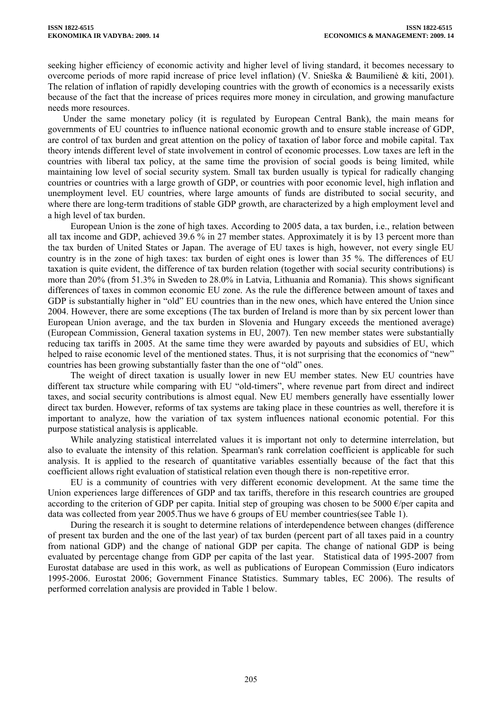seeking higher efficiency of economic activity and higher level of living standard, it becomes necessary to overcome periods of more rapid increase of price level inflation) (V. Snieška & Baumilienė & kiti, 2001). The relation of inflation of rapidly developing countries with the growth of economics is a necessarily exists because of the fact that the increase of prices requires more money in circulation, and growing manufacture needs more resources.

Under the same monetary policy (it is regulated by European Central Bank), the main means for governments of EU countries to influence national economic growth and to ensure stable increase of GDP, are control of tax burden and great attention on the policy of taxation of labor force and mobile capital. Tax theory intends different level of state involvement in control of economic processes. Low taxes are left in the countries with liberal tax policy, at the same time the provision of social goods is being limited, while maintaining low level of social security system. Small tax burden usually is typical for radically changing countries or countries with a large growth of GDP, or countries with poor economic level, high inflation and unemployment level. EU countries, where large amounts of funds are distributed to social security, and where there are long-term traditions of stable GDP growth, are characterized by a high employment level and a high level of tax burden.

European Union is the zone of high taxes. According to 2005 data, a tax burden, i.e., relation between all tax income and GDP, achieved 39.6 % in 27 member states. Approximately it is by 13 percent more than the tax burden of United States or Japan. The average of EU taxes is high, however, not every single EU country is in the zone of high taxes: tax burden of eight ones is lower than 35 %. The differences of EU taxation is quite evident, the difference of tax burden relation (together with social security contributions) is more than 20% (from 51.3% in Sweden to 28.0% in Latvia, Lithuania and Romania). This shows significant differences of taxes in common economic EU zone. As the rule the difference between amount of taxes and GDP is substantially higher in "old" EU countries than in the new ones, which have entered the Union since 2004. However, there are some exceptions (The tax burden of Ireland is more than by six percent lower than European Union average, and the tax burden in Slovenia and Hungary exceeds the mentioned average) (European Commission, General taxation systems in EU, 2007). Ten new member states were substantially reducing tax tariffs in 2005. At the same time they were awarded by payouts and subsidies of EU, which helped to raise economic level of the mentioned states. Thus, it is not surprising that the economics of "new" countries has been growing substantially faster than the one of "old" ones.

The weight of direct taxation is usually lower in new EU member states. New EU countries have different tax structure while comparing with EU "old-timers", where revenue part from direct and indirect taxes, and social security contributions is almost equal. New EU members generally have essentially lower direct tax burden. However, reforms of tax systems are taking place in these countries as well, therefore it is important to analyze, how the variation of tax system influences national economic potential. For this purpose statistical analysis is applicable.

While analyzing statistical interrelated values it is important not only to determine interrelation, but also to evaluate the intensity of this relation. Spearman's rank correlation coefficient is applicable for such analysis. It is applied to the research of quantitative variables essentially because of the fact that this coefficient allows right evaluation of statistical relation even though there is non-repetitive error.

EU is a community of countries with very different economic development. At the same time the Union experiences large differences of GDP and tax tariffs, therefore in this research countries are grouped according to the criterion of GDP per capita. Initial step of grouping was chosen to be 5000  $\epsilon$ /per capita and data was collected from year 2005.Thus we have 6 groups of EU member countries(see Table 1).

During the research it is sought to determine relations of interdependence between changes (difference of present tax burden and the one of the last year) of tax burden (percent part of all taxes paid in a country from national GDP) and the change of national GDP per capita. The change of national GDP is being evaluated by percentage change from GDP per capita of the last year. Statistical data of 1995-2007 from Eurostat database are used in this work, as well as publications of European Commission (Euro indicators 1995-2006. Eurostat 2006; Government Finance Statistics. Summary tables, EC 2006). The results of performed correlation analysis are provided in Table 1 below.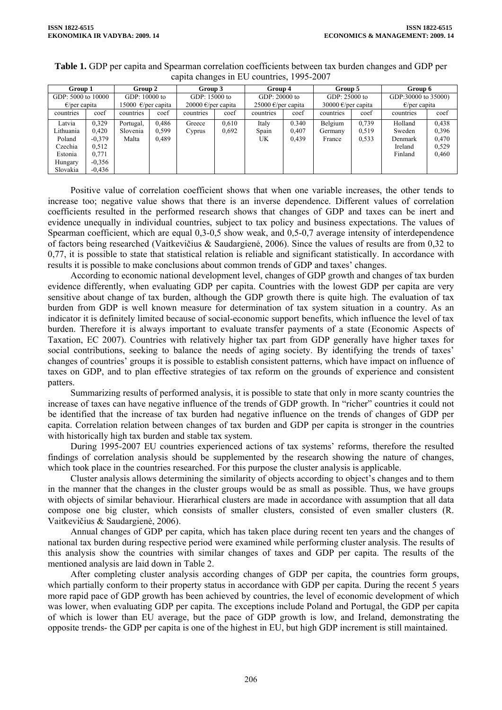| Group 1                |          | Group 2                      |       | Group 3            |       | Group 4            |       | Group 5                      |       | Group 6                |       |
|------------------------|----------|------------------------------|-------|--------------------|-------|--------------------|-------|------------------------------|-------|------------------------|-------|
| GDP: 5000 to 10000     |          | GDP: 10000 to                |       | GDP: 15000 to      |       | GDP: 20000 to      |       | GDP: 25000 to                |       | GDP:30000 to 35000)    |       |
| $\epsilon$ /per capita |          | 15000 $\epsilon$ /per capita |       | 20000 €/per capita |       | 25000 €/per capita |       | 30000 $\epsilon$ /per capita |       | $\epsilon$ /per capita |       |
| countries              | coef     | countries                    | coef  | countries          | coef  | countries          | coef  | countries                    | coef  | countries              | coef  |
| Latvia                 | 0.329    | Portugal,                    | 0,486 | Greece             | 0,610 | Italy              | 0.340 | Belgium                      | 0,739 | Holland                | 0.438 |
| Lithuania              | 0,420    | Slovenia                     | 0,599 | Cyprus             | 0,692 | Spain              | 0,407 | Germany                      | 0.519 | Sweden                 | 0.396 |
| Poland                 | $-0.379$ | Malta                        | 0,489 |                    |       | UK.                | 0,439 | France                       | 0.533 | Denmark                | 0,470 |
| Czechia                | 0.512    |                              |       |                    |       |                    |       |                              |       | Ireland                | 0.529 |
| Estonia                | 0.771    |                              |       |                    |       |                    |       |                              |       | Finland                | 0,460 |
| Hungary                | $-0.356$ |                              |       |                    |       |                    |       |                              |       |                        |       |
| Slovakia               | $-0.436$ |                              |       |                    |       |                    |       |                              |       |                        |       |

**Table 1.** GDP per capita and Spearman correlation coefficients between tax burden changes and GDP per capita changes in EU countries, 1995-2007

Positive value of correlation coefficient shows that when one variable increases, the other tends to increase too; negative value shows that there is an inverse dependence. Different values of correlation coefficients resulted in the performed research shows that changes of GDP and taxes can be inert and evidence unequally in individual countries, subject to tax policy and business expectations. The values of Spearman coefficient, which are equal 0,3-0,5 show weak, and 0,5-0,7 average intensity of interdependence of factors being researched (Vaitkevičius & Saudargienė, 2006). Since the values of results are from 0,32 to 0,77, it is possible to state that statistical relation is reliable and significant statistically. In accordance with results it is possible to make conclusions about common trends of GDP and taxes' changes.

According to economic national development level, changes of GDP growth and changes of tax burden evidence differently, when evaluating GDP per capita. Countries with the lowest GDP per capita are very sensitive about change of tax burden, although the GDP growth there is quite high. The evaluation of tax burden from GDP is well known measure for determination of tax system situation in a country. As an indicator it is definitely limited because of social-economic support benefits, which influence the level of tax burden. Therefore it is always important to evaluate transfer payments of a state (Economic Aspects of Taxation, EC 2007). Countries with relatively higher tax part from GDP generally have higher taxes for social contributions, seeking to balance the needs of aging society. By identifying the trends of taxes' changes of countries' groups it is possible to establish consistent patterns, which have impact on influence of taxes on GDP, and to plan effective strategies of tax reform on the grounds of experience and consistent patters.

Summarizing results of performed analysis, it is possible to state that only in more scanty countries the increase of taxes can have negative influence of the trends of GDP growth. In "richer" countries it could not be identified that the increase of tax burden had negative influence on the trends of changes of GDP per capita. Correlation relation between changes of tax burden and GDP per capita is stronger in the countries with historically high tax burden and stable tax system.

During 1995-2007 EU countries experienced actions of tax systems' reforms, therefore the resulted findings of correlation analysis should be supplemented by the research showing the nature of changes, which took place in the countries researched. For this purpose the cluster analysis is applicable.

Cluster analysis allows determining the similarity of objects according to object's changes and to them in the manner that the changes in the cluster groups would be as small as possible. Thus, we have groups with objects of similar behaviour. Hierarhical clusters are made in accordance with assumption that all data compose one big cluster, which consists of smaller clusters, consisted of even smaller clusters (R. Vaitkevičius & Saudargienė, 2006).

Annual changes of GDP per capita, which has taken place during recent ten years and the changes of national tax burden during respective period were examined while performing cluster analysis. The results of this analysis show the countries with similar changes of taxes and GDP per capita. The results of the mentioned analysis are laid down in Table 2.

After completing cluster analysis according changes of GDP per capita, the countries form groups, which partially conform to their property status in accordance with GDP per capita. During the recent 5 years more rapid pace of GDP growth has been achieved by countries, the level of economic development of which was lower, when evaluating GDP per capita. The exceptions include Poland and Portugal, the GDP per capita of which is lower than EU average, but the pace of GDP growth is low, and Ireland, demonstrating the opposite trends- the GDP per capita is one of the highest in EU, but high GDP increment is still maintained.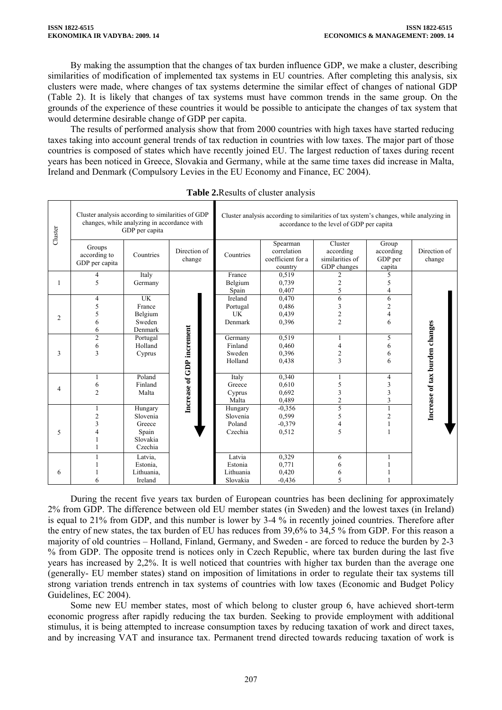By making the assumption that the changes of tax burden influence GDP, we make a cluster, describing similarities of modification of implemented tax systems in EU countries. After completing this analysis, six clusters were made, where changes of tax systems determine the similar effect of changes of national GDP (Table 2). It is likely that changes of tax systems must have common trends in the same group. On the grounds of the experience of these countries it would be possible to anticipate the changes of tax system that would determine desirable change of GDP per capita.

The results of performed analysis show that from 2000 countries with high taxes have started reducing taxes taking into account general trends of tax reduction in countries with low taxes. The major part of those countries is composed of states which have recently joined EU. The largest reduction of taxes during recent years has been noticed in Greece, Slovakia and Germany, while at the same time taxes did increase in Malta, Ireland and Denmark (Compulsory Levies in the EU Economy and Finance, EC 2004).

| Cluster        | Cluster analysis according to similarities of GDP           | changes, while analyzing in accordance with<br>GDP per capita |                           | Cluster analysis according to similarities of tax system's changes, while analyzing in<br>accordance to the level of GDP per capital |                                                         |                                                        |                                            |                                |  |
|----------------|-------------------------------------------------------------|---------------------------------------------------------------|---------------------------|--------------------------------------------------------------------------------------------------------------------------------------|---------------------------------------------------------|--------------------------------------------------------|--------------------------------------------|--------------------------------|--|
|                | Groups<br>according to<br>GDP per capita                    | Countries                                                     | Direction of<br>change    | Countries                                                                                                                            | Spearman<br>correlation<br>coefficient for a<br>country | Cluster<br>according<br>similarities of<br>GDP changes | Group<br>according<br>GDP per<br>capita    | Direction of<br>change         |  |
| 1              | 4<br>5                                                      | Italy<br>Germany                                              |                           | France<br>Belgium<br>Spain                                                                                                           | 0,519<br>0,739<br>0,407                                 | 2<br>$\overline{c}$<br>5                               | 5<br>5<br>$\overline{4}$                   |                                |  |
| $\overline{2}$ | 4<br>5<br>5<br>6<br>6                                       | UK<br>France<br>Belgium<br>Sweden<br>Denmark                  |                           | Ireland<br>Portugal<br><b>UK</b><br>Denmark                                                                                          | 0,470<br>0,486<br>0,439<br>0,396                        | 6<br>3<br>$\sqrt{2}$<br>$\overline{c}$                 | 6<br>$\overline{c}$<br>$\overline{4}$<br>6 |                                |  |
| 3              | $\overline{c}$<br>6<br>3                                    | Portugal<br>Holland<br>Cyprus                                 | Increase of GDP increment | Germany<br>Finland<br>Sweden<br>Holland                                                                                              | 0,519<br>0,460<br>0,396<br>0,438                        | 1<br>$\overline{4}$<br>$\overline{2}$<br>3             | 5<br>6<br>6<br>6                           | Increase of tax burden changes |  |
| 4              | 1<br>6<br>$\overline{c}$                                    | Poland<br>Finland<br>Malta                                    |                           | Italy<br>Greece<br>Cyprus<br>Malta                                                                                                   | 0,340<br>0,610<br>0,692<br>0,489                        | 5<br>3<br>$\overline{c}$                               | 4<br>3<br>3<br>3                           |                                |  |
| 5              | $\overline{c}$<br>$\overline{\mathbf{3}}$<br>$\overline{4}$ | Hungary<br>Slovenia<br>Greece<br>Spain<br>Slovakia<br>Czechia |                           | Hungary<br>Slovenia<br>Poland<br>Czechia                                                                                             | $-0.356$<br>0,599<br>$-0.379$<br>0,512                  | 5<br>5<br>$\overline{4}$<br>5                          | $\mathbf{1}$<br>$\overline{2}$             |                                |  |
| 6              | 6                                                           | Latvia,<br>Estonia,<br>Lithuania,<br>Ireland                  |                           | Latvia<br>Estonia<br>Lithuania<br>Slovakia                                                                                           | 0,329<br>0,771<br>0,420<br>$-0.436$                     | 6<br>6<br>6<br>5                                       |                                            |                                |  |

**Table 2.**Results of cluster analysis

During the recent five years tax burden of European countries has been declining for approximately 2% from GDP. The difference between old EU member states (in Sweden) and the lowest taxes (in Ireland) is equal to 21% from GDP, and this number is lower by 3-4 % in recently joined countries. Therefore after the entry of new states, the tax burden of EU has reduces from 39,6% to 34,5 % from GDP. For this reason a majority of old countries – Holland, Finland, Germany, and Sweden - are forced to reduce the burden by 2-3 % from GDP. The opposite trend is notices only in Czech Republic, where tax burden during the last five years has increased by 2,2%. It is well noticed that countries with higher tax burden than the average one (generally- EU member states) stand on imposition of limitations in order to regulate their tax systems till strong variation trends entrench in tax systems of countries with low taxes (Economic and Budget Policy Guidelines, EC 2004).

Some new EU member states, most of which belong to cluster group 6, have achieved short-term economic progress after rapidly reducing the tax burden. Seeking to provide employment with additional stimulus, it is being attempted to increase consumption taxes by reducing taxation of work and direct taxes, and by increasing VAT and insurance tax. Permanent trend directed towards reducing taxation of work is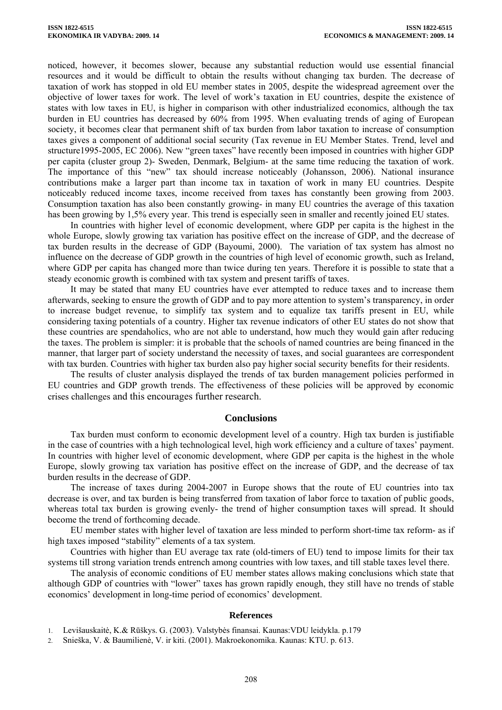noticed, however, it becomes slower, because any substantial reduction would use essential financial resources and it would be difficult to obtain the results without changing tax burden. The decrease of taxation of work has stopped in old EU member states in 2005, despite the widespread agreement over the objective of lower taxes for work. The level of work's taxation in EU countries, despite the existence of states with low taxes in EU, is higher in comparison with other industrialized economics, although the tax burden in EU countries has decreased by 60% from 1995. When evaluating trends of aging of European society, it becomes clear that permanent shift of tax burden from labor taxation to increase of consumption taxes gives a component of additional social security (Tax revenue in EU Member States. Trend, level and structure1995-2005, EC 2006). New "green taxes" have recently been imposed in countries with higher GDP per capita (cluster group 2)- Sweden, Denmark, Belgium- at the same time reducing the taxation of work. The importance of this "new" tax should increase noticeably (Johansson, 2006). National insurance contributions make a larger part than income tax in taxation of work in many EU countries. Despite noticeably reduced income taxes, income received from taxes has constantly been growing from 2003. Consumption taxation has also been constantly growing- in many EU countries the average of this taxation has been growing by 1,5% every year. This trend is especially seen in smaller and recently joined EU states.

In countries with higher level of economic development, where GDP per capita is the highest in the whole Europe, slowly growing tax variation has positive effect on the increase of GDP, and the decrease of tax burden results in the decrease of GDP (Bayoumi, 2000). The variation of tax system has almost no influence on the decrease of GDP growth in the countries of high level of economic growth, such as Ireland, where GDP per capita has changed more than twice during ten years. Therefore it is possible to state that a steady economic growth is combined with tax system and present tariffs of taxes.

It may be stated that many EU countries have ever attempted to reduce taxes and to increase them afterwards, seeking to ensure the growth of GDP and to pay more attention to system's transparency, in order to increase budget revenue, to simplify tax system and to equalize tax tariffs present in EU, while considering taxing potentials of a country. Higher tax revenue indicators of other EU states do not show that these countries are spendaholics, who are not able to understand, how much they would gain after reducing the taxes. The problem is simpler: it is probable that the schools of named countries are being financed in the manner, that larger part of society understand the necessity of taxes, and social guarantees are correspondent with tax burden. Countries with higher tax burden also pay higher social security benefits for their residents.

The results of cluster analysis displayed the trends of tax burden management policies performed in EU countries and GDP growth trends. The effectiveness of these policies will be approved by economic crises challenges and this encourages further research.

#### **Conclusions**

Tax burden must conform to economic development level of a country. High tax burden is justifiable in the case of countries with a high technological level, high work efficiency and a culture of taxes' payment. In countries with higher level of economic development, where GDP per capita is the highest in the whole Europe, slowly growing tax variation has positive effect on the increase of GDP, and the decrease of tax burden results in the decrease of GDP.

The increase of taxes during 2004-2007 in Europe shows that the route of EU countries into tax decrease is over, and tax burden is being transferred from taxation of labor force to taxation of public goods, whereas total tax burden is growing evenly- the trend of higher consumption taxes will spread. It should become the trend of forthcoming decade.

EU member states with higher level of taxation are less minded to perform short-time tax reform- as if high taxes imposed "stability" elements of a tax system.

Countries with higher than EU average tax rate (old-timers of EU) tend to impose limits for their tax systems till strong variation trends entrench among countries with low taxes, and till stable taxes level there.

The analysis of economic conditions of EU member states allows making conclusions which state that although GDP of countries with "lower" taxes has grown rapidly enough, they still have no trends of stable economics' development in long-time period of economics' development.

### **References**

- 1. Levišauskaitė, K.& Rūškys. G. (2003). Valstybės finansai. Kaunas:VDU leidykla. p.179
- 2. Snieška, V. & Baumilienė, V. ir kiti. (2001). Makroekonomika. Kaunas: KTU. p. 613.